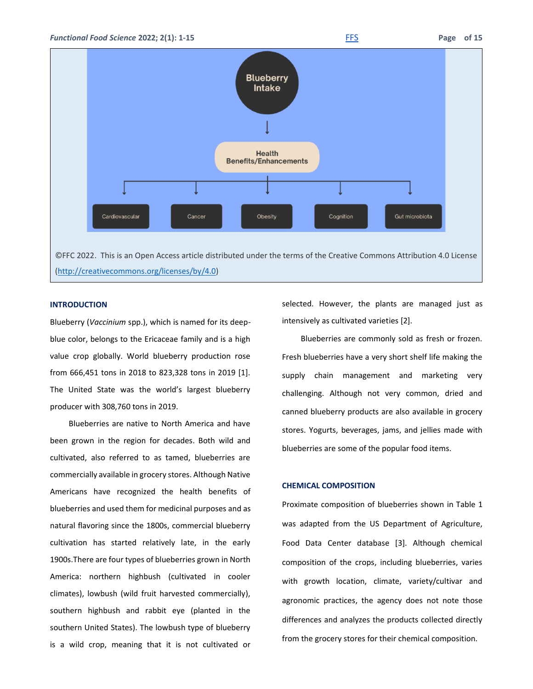

©FFC 2022. This is an Open Access article distributed under the terms of the Creative Commons Attribution 4.0 License [\(http://creativecommons.org/licenses/by/4.0\)](http://creativecommons.org/licenses/by/4.0)

### **INTRODUCTION**

Blueberry (*Vaccinium* spp.), which is named for its deepblue color, belongs to the Ericaceae family and is a high value crop globally. World blueberry production rose from 666,451 tons in 2018 to 823,328 tons in 2019 [1]. The United State was the world's largest blueberry producer with 308,760 tons in 2019.

Blueberries are native to North America and have been grown in the region for decades. Both wild and cultivated, also referred to as tamed, blueberries are commercially available in grocery stores. Although Native Americans have recognized the health benefits of blueberries and used them for medicinal purposes and as natural flavoring since the 1800s, commercial blueberry cultivation has started relatively late, in the early 1900s.There are four types of blueberries grown in North America: northern highbush (cultivated in cooler climates), lowbush (wild fruit harvested commercially), southern highbush and rabbit eye (planted in the southern United States). The lowbush type of blueberry is a wild crop, meaning that it is not cultivated or selected. However, the plants are managed just as intensively as cultivated varieties [2].

Blueberries are commonly sold as fresh or frozen. Fresh blueberries have a very short shelf life making the supply chain management and marketing very challenging. Although not very common, dried and canned blueberry products are also available in grocery stores. Yogurts, beverages, jams, and jellies made with blueberries are some of the popular food items.

### **CHEMICAL COMPOSITION**

Proximate composition of blueberries shown in Table 1 was adapted from the US Department of Agriculture, Food Data Center database [3]. Although chemical composition of the crops, including blueberries, varies with growth location, climate, variety/cultivar and agronomic practices, the agency does not note those differences and analyzes the products collected directly from the grocery stores for their chemical composition.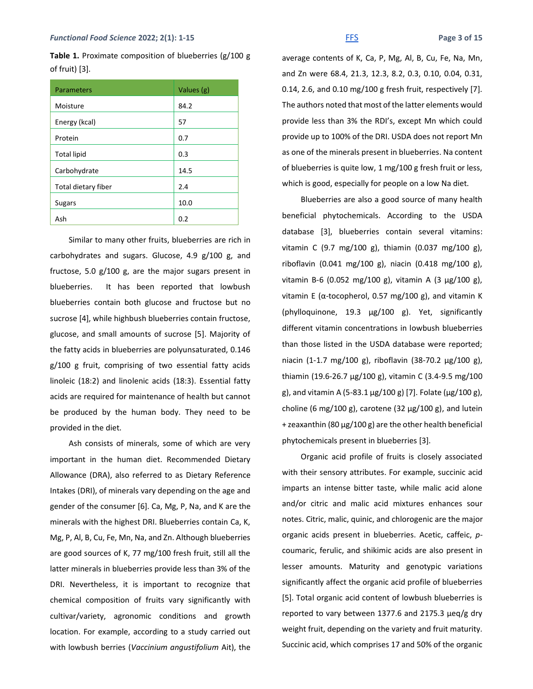**Table 1.** Proximate composition of blueberries (g/100 g of fruit) [3].

| Parameters          | Values (g) |
|---------------------|------------|
| Moisture            | 84.2       |
| Energy (kcal)       | 57         |
| Protein             | 0.7        |
| <b>Total lipid</b>  | 0.3        |
| Carbohydrate        | 14.5       |
| Total dietary fiber | 2.4        |
| <b>Sugars</b>       | 10.0       |
| Ash                 | 0.2        |

Similar to many other fruits, blueberries are rich in carbohydrates and sugars. Glucose, 4.9 g/100 g, and fructose, 5.0 g/100 g, are the major sugars present in blueberries. It has been reported that lowbush blueberries contain both glucose and fructose but no sucrose [4], while highbush blueberries contain fructose, glucose, and small amounts of sucrose [5]. Majority of the fatty acids in blueberries are polyunsaturated, 0.146 g/100 g fruit, comprising of two essential fatty acids linoleic (18:2) and linolenic acids (18:3). Essential fatty acids are required for maintenance of health but cannot be produced by the human body. They need to be provided in the diet.

Ash consists of minerals, some of which are very important in the human diet. Recommended Dietary Allowance (DRA), also referred to as Dietary Reference Intakes (DRI), of minerals vary depending on the age and gender of the consumer [6]. Ca, Mg, P, Na, and K are the minerals with the highest DRI. Blueberries contain Ca, K, Mg, P, Al, B, Cu, Fe, Mn, Na, and Zn. Although blueberries are good sources of K, 77 mg/100 fresh fruit, still all the latter minerals in blueberries provide less than 3% of the DRI. Nevertheless, it is important to recognize that chemical composition of fruits vary significantly with cultivar/variety, agronomic conditions and growth location. For example, according to a study carried out with lowbush berries (*Vaccinium angustifolium* Ait), the

average contents of K, Ca, P, Mg, Al, B, Cu, Fe, Na, Mn, and Zn were 68.4, 21.3, 12.3, 8.2, 0.3, 0.10, 0.04, 0.31, 0.14, 2.6, and 0.10 mg/100 g fresh fruit, respectively [7]. The authors noted that most of the latter elements would provide less than 3% the RDI's, except Mn which could provide up to 100% of the DRI. USDA does not report Mn as one of the minerals present in blueberries. Na content of blueberries is quite low, 1 mg/100 g fresh fruit or less, which is good, especially for people on a low Na diet.

Blueberries are also a good source of many health beneficial phytochemicals. According to the USDA database [3], blueberries contain several vitamins: vitamin C (9.7 mg/100 g), thiamin (0.037 mg/100 g), riboflavin (0.041 mg/100 g), niacin (0.418 mg/100 g), vitamin B-6 (0.052 mg/100 g), vitamin A (3 μg/100 g), vitamin E ( $α$ -tocopherol, 0.57 mg/100 g), and vitamin K (phylloquinone, 19.3 μg/100 g). Yet, significantly different vitamin concentrations in lowbush blueberries than those listed in the USDA database were reported; niacin (1-1.7 mg/100 g), riboflavin (38-70.2 μg/100 g), thiamin (19.6-26.7 μg/100 g), vitamin C (3.4-9.5 mg/100 g), and vitamin A (5-83.1 μg/100 g) [7]. Folate (μg/100 g), choline (6 mg/100 g), carotene (32  $\mu$ g/100 g), and lutein + zeaxanthin (80 μg/100 g) are the other health beneficial phytochemicals present in blueberries [3].

Organic acid profile of fruits is closely associated with their sensory attributes. For example, succinic acid imparts an intense bitter taste, while malic acid alone and/or citric and malic acid mixtures enhances sour notes. Citric, malic, quinic, and chlorogenic are the major organic acids present in blueberries. Acetic, caffeic, *p*coumaric, ferulic, and shikimic acids are also present in lesser amounts. Maturity and genotypic variations significantly affect the organic acid profile of blueberries [5]. Total organic acid content of lowbush blueberries is reported to vary between 1377.6 and 2175.3 μeq/g dry weight fruit, depending on the variety and fruit maturity. Succinic acid, which comprises 17 and 50% of the organic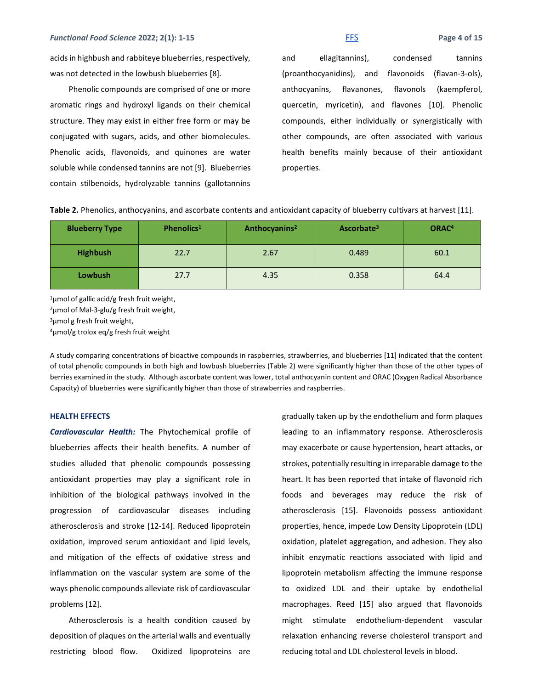acids in highbush and rabbiteye blueberries, respectively, was not detected in the lowbush blueberries [8].

Phenolic compounds are comprised of one or more aromatic rings and hydroxyl ligands on their chemical structure. They may exist in either free form or may be conjugated with sugars, acids, and other biomolecules. Phenolic acids, flavonoids, and quinones are water soluble while condensed tannins are not [9]. Blueberries contain stilbenoids, hydrolyzable tannins (gallotannins and ellagitannins), condensed tannins (proanthocyanidins), and flavonoids (flavan-3-ols), anthocyanins, flavanones, flavonols (kaempferol, quercetin, myricetin), and flavones [10]. Phenolic compounds, either individually or synergistically with other compounds, are often associated with various health benefits mainly because of their antioxidant properties.

| <b>Blueberry Type</b> | Phenolics <sup>1</sup> | Anthocyanins <sup>2</sup> | Ascorbate <sup>3</sup> | ORAC <sup>4</sup> |
|-----------------------|------------------------|---------------------------|------------------------|-------------------|
| <b>Highbush</b>       | 22.7                   | 2.67                      | 0.489                  | 60.1              |
| <b>Lowbush</b>        | 27.7                   | 4.35                      | 0.358                  | 64.4              |

**Table 2.** Phenolics, anthocyanins, and ascorbate contents and antioxidant capacity of blueberry cultivars at harvest [11].

<sup>1</sup>μmol of gallic acid/g fresh fruit weight, <sup>2</sup>μmol of Mal-3-glu/g fresh fruit weight, <sup>3</sup>μmol g fresh fruit weight,

<sup>4</sup>μmol/g trolox eq/g fresh fruit weight

A study comparing concentrations of bioactive compounds in raspberries, strawberries, and blueberries [11] indicated that the content of total phenolic compounds in both high and lowbush blueberries (Table 2) were significantly higher than those of the other types of berries examined in the study. Although ascorbate content was lower, total anthocyanin content and ORAC (Oxygen Radical Absorbance Capacity) of blueberries were significantly higher than those of strawberries and raspberries.

### **HEALTH EFFECTS**

*Cardiovascular Health:* The Phytochemical profile of blueberries affects their health benefits. A number of studies alluded that phenolic compounds possessing antioxidant properties may play a significant role in inhibition of the biological pathways involved in the progression of cardiovascular diseases including atherosclerosis and stroke [12-14]. Reduced lipoprotein oxidation, improved serum antioxidant and lipid levels, and mitigation of the effects of oxidative stress and inflammation on the vascular system are some of the ways phenolic compounds alleviate risk of cardiovascular problems [12].

Atherosclerosis is a health condition caused by deposition of plaques on the arterial walls and eventually restricting blood flow. Oxidized lipoproteins are gradually taken up by the endothelium and form plaques leading to an inflammatory response. Atherosclerosis may exacerbate or cause hypertension, heart attacks, or strokes, potentially resulting in irreparable damage to the heart. It has been reported that intake of flavonoid rich foods and beverages may reduce the risk of atherosclerosis [15]. Flavonoids possess antioxidant properties, hence, impede Low Density Lipoprotein (LDL) oxidation, platelet aggregation, and adhesion. They also inhibit enzymatic reactions associated with lipid and lipoprotein metabolism affecting the immune response to oxidized LDL and their uptake by endothelial macrophages. Reed [15] also argued that flavonoids might stimulate endothelium-dependent vascular relaxation enhancing reverse cholesterol transport and reducing total and LDL cholesterol levels in blood.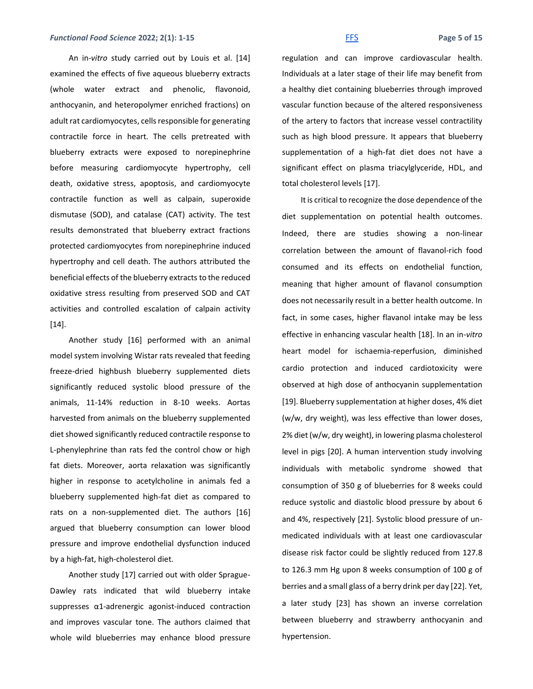### *Functional Food Science 2022; 2(1): 1-15* **Fermit and** *[FFS](http://www.ffhdj.com/)* **Fage 5 of 15**

An in-*vitro* study carried out by Louis et al. [14] examined the effects of five aqueous blueberry extracts (whole water extract and phenolic, flavonoid, anthocyanin, and heteropolymer enriched fractions) on adult rat cardiomyocytes, cells responsible for generating contractile force in heart. The cells pretreated with blueberry extracts were exposed to norepinephrine before measuring cardiomyocyte hypertrophy, cell death, oxidative stress, apoptosis, and cardiomyocyte contractile function as well as calpain, superoxide dismutase (SOD), and catalase (CAT) activity. The test results demonstrated that blueberry extract fractions protected cardiomyocytes from norepinephrine induced hypertrophy and cell death. The authors attributed the beneficial effects of the blueberry extracts to the reduced oxidative stress resulting from preserved SOD and CAT activities and controlled escalation of calpain activity [14].

Another study [16] performed with an animal model system involving Wistar rats revealed that feeding freeze-dried highbush blueberry supplemented diets significantly reduced systolic blood pressure of the animals, 11-14% reduction in 8-10 weeks. Aortas harvested from animals on the blueberry supplemented diet showed significantly reduced contractile response to L-phenylephrine than rats fed the control chow or high fat diets. Moreover, aorta relaxation was significantly higher in response to acetylcholine in animals fed a blueberry supplemented high-fat diet as compared to rats on a non-supplemented diet. The authors [16] argued that blueberry consumption can lower blood pressure and improve endothelial dysfunction induced by a high-fat, high-cholesterol diet.

Another study [17] carried out with older Sprague-Dawley rats indicated that wild blueberry intake suppresses α1-adrenergic agonist-induced contraction and improves vascular tone. The authors claimed that whole wild blueberries may enhance blood pressure regulation and can improve cardiovascular health. Individuals at a later stage of their life may benefit from a healthy diet containing blueberries through improved vascular function because of the altered responsiveness of the artery to factors that increase vessel contractility such as high blood pressure. It appears that blueberry supplementation of a high-fat diet does not have a significant effect on plasma triacylglyceride, HDL, and total cholesterol levels [17].

It is critical to recognize the dose dependence of the diet supplementation on potential health outcomes. Indeed, there are studies showing a non-linear correlation between the amount of flavanol-rich food consumed and its effects on endothelial function, meaning that higher amount of flavanol consumption does not necessarily result in a better health outcome. In fact, in some cases, higher flavanol intake may be less effective in enhancing vascular health [18]. In an in-*vitro* heart model for ischaemia-reperfusion, diminished cardio protection and induced cardiotoxicity were observed at high dose of anthocyanin supplementation [19]. Blueberry supplementation at higher doses, 4% diet (w/w, dry weight), was less effective than lower doses, 2% diet (w/w, dry weight), in lowering plasma cholesterol level in pigs [20]. A human intervention study involving individuals with metabolic syndrome showed that consumption of 350 g of blueberries for 8 weeks could reduce systolic and diastolic blood pressure by about 6 and 4%, respectively [21]. Systolic blood pressure of unmedicated individuals with at least one cardiovascular disease risk factor could be slightly reduced from 127.8 to 126.3 mm Hg upon 8 weeks consumption of 100 g of berries and a small glass of a berry drink per day [22]. Yet, a later study [23] has shown an inverse correlation between blueberry and strawberry anthocyanin and hypertension.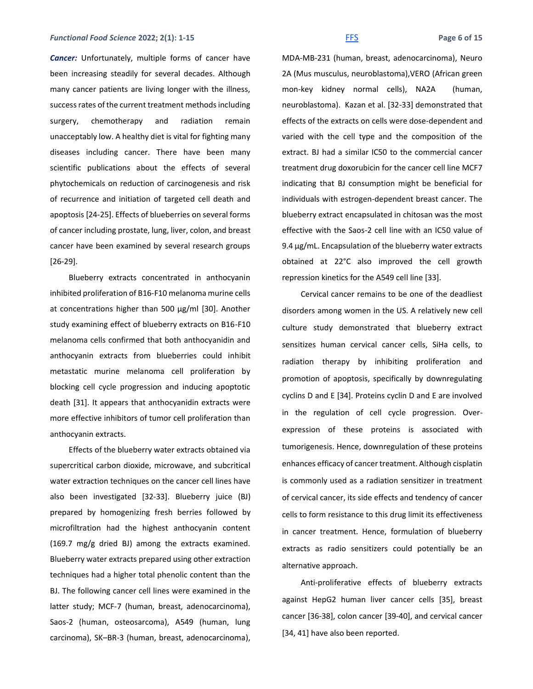### *Functional Food Science 2022; 2(1): 1-15* **Fermit and** *[FFS](http://www.ffhdj.com/)* **Fage 6 of 15**

*Cancer:* Unfortunately, multiple forms of cancer have been increasing steadily for several decades. Although many cancer patients are living longer with the illness, success rates of the current treatment methods including surgery, chemotherapy and radiation remain unacceptably low. A healthy diet is vital for fighting many diseases including cancer. There have been many scientific publications about the effects of several phytochemicals on reduction of carcinogenesis and risk of recurrence and initiation of targeted cell death and apoptosis [24-25]. Effects of blueberries on several forms of cancer including prostate, lung, liver, colon, and breast cancer have been examined by several research groups [26-29].

Blueberry extracts concentrated in anthocyanin inhibited proliferation of B16-F10 melanoma murine cells at concentrations higher than 500 μg/ml [30]. Another study examining effect of blueberry extracts on B16-F10 melanoma cells confirmed that both anthocyanidin and anthocyanin extracts from blueberries could inhibit metastatic murine melanoma cell proliferation by blocking cell cycle progression and inducing apoptotic death [31]. It appears that anthocyanidin extracts were more effective inhibitors of tumor cell proliferation than anthocyanin extracts.

Effects of the blueberry water extracts obtained via supercritical carbon dioxide, microwave, and subcritical water extraction techniques on the cancer cell lines have also been investigated [32-33]. Blueberry juice (BJ) prepared by homogenizing fresh berries followed by microfiltration had the highest anthocyanin content (169.7 mg/g dried BJ) among the extracts examined. Blueberry water extracts prepared using other extraction techniques had a higher total phenolic content than the BJ. The following cancer cell lines were examined in the latter study; MCF-7 (human, breast, adenocarcinoma), Saos-2 (human, osteosarcoma), A549 (human, lung carcinoma), SK–BR-3 (human, breast, adenocarcinoma),

MDA-MB-231 (human, breast, adenocarcinoma), Neuro 2A (Mus musculus, neuroblastoma),VERO (African green mon-key kidney normal cells), NA2A (human, neuroblastoma). Kazan et al. [32-33] demonstrated that effects of the extracts on cells were dose-dependent and varied with the cell type and the composition of the extract. BJ had a similar IC50 to the commercial cancer treatment drug doxorubicin for the cancer cell line MCF7 indicating that BJ consumption might be beneficial for individuals with estrogen-dependent breast cancer. The blueberry extract encapsulated in chitosan was the most effective with the Saos-2 cell line with an IC50 value of 9.4 μg/mL. Encapsulation of the blueberry water extracts obtained at 22°C also improved the cell growth repression kinetics for the A549 cell line [33].

Cervical cancer remains to be one of the deadliest disorders among women in the US. A relatively new cell culture study demonstrated that blueberry extract sensitizes human cervical cancer cells, SiHa cells, to radiation therapy by inhibiting proliferation and promotion of apoptosis, specifically by downregulating cyclins D and E [34]. Proteins cyclin D and E are involved in the regulation of cell cycle progression. Overexpression of these proteins is associated with tumorigenesis. Hence, downregulation of these proteins enhances efficacy of cancer treatment. Although cisplatin is commonly used as a radiation sensitizer in treatment of cervical cancer, its side effects and tendency of cancer cells to form resistance to this drug limit its effectiveness in cancer treatment. Hence, formulation of blueberry extracts as radio sensitizers could potentially be an alternative approach.

Anti-proliferative effects of blueberry extracts against HepG2 human liver cancer cells [35], breast cancer [36-38], colon cancer [39-40], and cervical cancer [34, 41] have also been reported.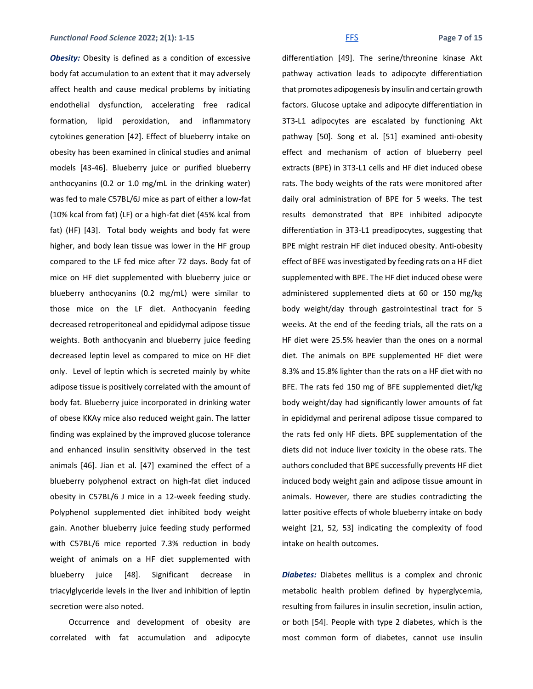### *Functional Food Science 2022; 2(1): 1-15* Fermit and *[FFS](http://www.ffhdj.com/)* Fage 7 of 15

**Obesity:** Obesity is defined as a condition of excessive body fat accumulation to an extent that it may adversely affect health and cause medical problems by initiating endothelial dysfunction, accelerating free radical formation, lipid peroxidation, and inflammatory cytokines generation [42]. Effect of blueberry intake on obesity has been examined in clinical studies and animal models [43-46]. Blueberry juice or purified blueberry anthocyanins (0.2 or 1.0 mg/mL in the drinking water) was fed to male C57BL/6J mice as part of either a low-fat (10% kcal from fat) (LF) or a high-fat diet (45% kcal from fat) (HF) [43]. Total body weights and body fat were higher, and body lean tissue was lower in the HF group compared to the LF fed mice after 72 days. Body fat of mice on HF diet supplemented with blueberry juice or blueberry anthocyanins (0.2 mg/mL) were similar to those mice on the LF diet. Anthocyanin feeding decreased retroperitoneal and epididymal adipose tissue weights. Both anthocyanin and blueberry juice feeding decreased leptin level as compared to mice on HF diet only. Level of leptin which is secreted mainly by white adipose tissue is positively correlated with the amount of body fat. Blueberry juice incorporated in drinking water of obese KKAy mice also reduced weight gain. The latter finding was explained by the improved glucose tolerance and enhanced insulin sensitivity observed in the test animals [46]. Jian et al. [47] examined the effect of a blueberry polyphenol extract on high-fat diet induced obesity in C57BL/6 J mice in a 12-week feeding study. Polyphenol supplemented diet inhibited body weight gain. Another blueberry juice feeding study performed with C57BL/6 mice reported 7.3% reduction in body weight of animals on a HF diet supplemented with blueberry juice [48]. Significant decrease in triacylglyceride levels in the liver and inhibition of leptin secretion were also noted.

Occurrence and development of obesity are correlated with fat accumulation and adipocyte

differentiation [49]. The serine/threonine kinase Akt pathway activation leads to adipocyte differentiation that promotes adipogenesis by insulin and certain growth factors. Glucose uptake and adipocyte differentiation in 3T3-L1 adipocytes are escalated by functioning Akt pathway [50]. Song et al. [51] examined anti-obesity effect and mechanism of action of blueberry peel extracts (BPE) in 3T3-L1 cells and HF diet induced obese rats. The body weights of the rats were monitored after daily oral administration of BPE for 5 weeks. The test results demonstrated that BPE inhibited adipocyte differentiation in 3T3-L1 preadipocytes, suggesting that BPE might restrain HF diet induced obesity. Anti-obesity effect of BFE was investigated by feeding rats on a HF diet supplemented with BPE. The HF diet induced obese were administered supplemented diets at 60 or 150 mg/kg body weight/day through gastrointestinal tract for 5 weeks. At the end of the feeding trials, all the rats on a HF diet were 25.5% heavier than the ones on a normal diet. The animals on BPE supplemented HF diet were 8.3% and 15.8% lighter than the rats on a HF diet with no BFE. The rats fed 150 mg of BFE supplemented diet/kg body weight/day had significantly lower amounts of fat in epididymal and perirenal adipose tissue compared to the rats fed only HF diets. BPE supplementation of the diets did not induce liver toxicity in the obese rats. The authors concluded that BPE successfully prevents HF diet induced body weight gain and adipose tissue amount in animals. However, there are studies contradicting the latter positive effects of whole blueberry intake on body weight [21, 52, 53] indicating the complexity of food intake on health outcomes.

*Diabetes:* Diabetes mellitus is a complex and chronic metabolic health problem defined by hyperglycemia, resulting from failures in insulin secretion, insulin action, or both [54]. People with type 2 diabetes, which is the most common form of diabetes, cannot use insulin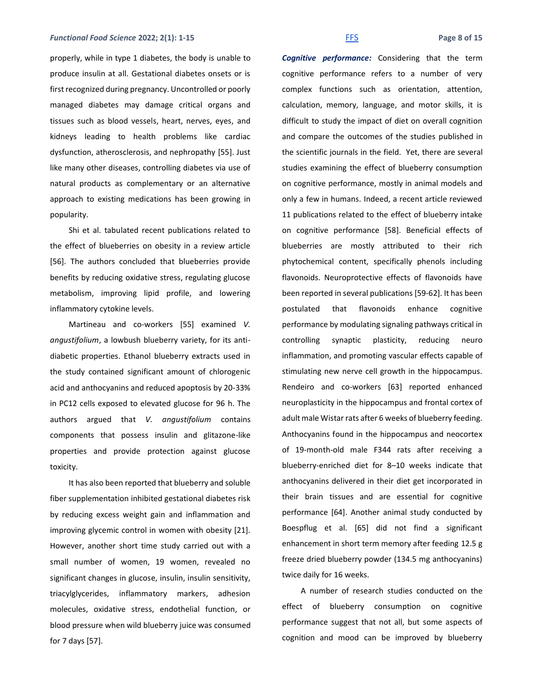### *Functional Food Science 2022; 2(1): 1-15* **Fermit and** *[FFS](http://www.ffhdj.com/)* **Fage 8 of 15**

properly, while in type 1 diabetes, the body is unable to produce insulin at all. Gestational diabetes onsets or is first recognized during pregnancy. Uncontrolled or poorly managed diabetes may damage critical organs and tissues such as blood vessels, heart, nerves, eyes, and kidneys leading to health problems like cardiac dysfunction, atherosclerosis, and nephropathy [55]. Just like many other diseases, controlling diabetes via use of natural products as complementary or an alternative approach to existing medications has been growing in popularity.

Shi et al. tabulated recent publications related to the effect of blueberries on obesity in a review article [56]. The authors concluded that blueberries provide benefits by reducing oxidative stress, regulating glucose metabolism, improving lipid profile, and lowering inflammatory cytokine levels.

Martineau and co-workers [55] examined *V. angustifolium*, a lowbush blueberry variety, for its antidiabetic properties. Ethanol blueberry extracts used in the study contained significant amount of chlorogenic acid and anthocyanins and reduced apoptosis by 20-33% in PC12 cells exposed to elevated glucose for 96 h. The authors argued that *V. angustifolium* contains components that possess insulin and glitazone-like properties and provide protection against glucose toxicity.

It has also been reported that blueberry and soluble fiber supplementation inhibited gestational diabetes risk by reducing excess weight gain and inflammation and improving glycemic control in women with obesity [21]. However, another short time study carried out with a small number of women, 19 women, revealed no significant changes in glucose, insulin, insulin sensitivity, triacylglycerides, inflammatory markers, adhesion molecules, oxidative stress, endothelial function, or blood pressure when wild blueberry juice was consumed for 7 days [57].

*Cognitive performance:* Considering that the term cognitive performance refers to a number of very complex functions such as orientation, attention, calculation, memory, language, and motor skills, it is difficult to study the impact of diet on overall cognition and compare the outcomes of the studies published in the scientific journals in the field. Yet, there are several studies examining the effect of blueberry consumption on cognitive performance, mostly in animal models and only a few in humans. Indeed, a recent article reviewed 11 publications related to the effect of blueberry intake on cognitive performance [58]. Beneficial effects of blueberries are mostly attributed to their rich phytochemical content, specifically phenols including flavonoids. Neuroprotective effects of flavonoids have been reported in several publications [59-62]. It has been postulated that flavonoids enhance cognitive performance by modulating signaling pathways critical in controlling synaptic plasticity, reducing neuro inflammation, and promoting vascular effects capable of stimulating new nerve cell growth in the hippocampus. Rendeiro and co-workers [63] reported enhanced neuroplasticity in the hippocampus and frontal cortex of adult male Wistar rats after 6 weeks of blueberry feeding. Anthocyanins found in the hippocampus and neocortex of 19-month-old male F344 rats after receiving a blueberry-enriched diet for 8–10 weeks indicate that anthocyanins delivered in their diet get incorporated in their brain tissues and are essential for cognitive performance [64]. Another animal study conducted by Boespflug et al. [65] did not find a significant enhancement in short term memory after feeding 12.5 g freeze dried blueberry powder (134.5 mg anthocyanins) twice daily for 16 weeks.

A number of research studies conducted on the effect of blueberry consumption on cognitive performance suggest that not all, but some aspects of cognition and mood can be improved by blueberry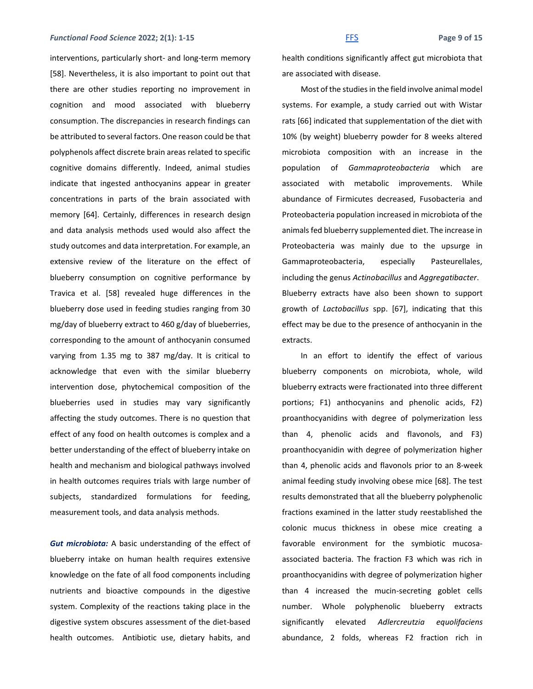### *Functional Food Science 2022; 2(1): 1-15* Fermit and *[FFS](http://www.ffhdj.com/)* Fage 9 of 15

interventions, particularly short- and long-term memory [58]. Nevertheless, it is also important to point out that there are other studies reporting no improvement in cognition and mood associated with blueberry consumption. The discrepancies in research findings can be attributed to several factors. One reason could be that polyphenols affect discrete brain areas related to specific cognitive domains differently. Indeed, animal studies indicate that ingested anthocyanins appear in greater concentrations in parts of the brain associated with memory [64]. Certainly, differences in research design and data analysis methods used would also affect the study outcomes and data interpretation. For example, an extensive review of the literature on the effect of blueberry consumption on cognitive performance by Travica et al. [58] revealed huge differences in the blueberry dose used in feeding studies ranging from 30 mg/day of blueberry extract to 460 g/day of blueberries, corresponding to the amount of anthocyanin consumed varying from 1.35 mg to 387 mg/day. It is critical to acknowledge that even with the similar blueberry intervention dose, phytochemical composition of the blueberries used in studies may vary significantly affecting the study outcomes. There is no question that effect of any food on health outcomes is complex and a better understanding of the effect of blueberry intake on health and mechanism and biological pathways involved in health outcomes requires trials with large number of subjects, standardized formulations for feeding, measurement tools, and data analysis methods.

*Gut microbiota:* A basic understanding of the effect of blueberry intake on human health requires extensive knowledge on the fate of all food components including nutrients and bioactive compounds in the digestive system. Complexity of the reactions taking place in the digestive system obscures assessment of the diet-based health outcomes. Antibiotic use, dietary habits, and health conditions significantly affect gut microbiota that are associated with disease.

Most of the studies in the field involve animal model systems. For example, a study carried out with Wistar rats [66] indicated that supplementation of the diet with 10% (by weight) blueberry powder for 8 weeks altered microbiota composition with an increase in the population of *Gammaproteobacteria* which are associated with metabolic improvements. While abundance of Firmicutes decreased, Fusobacteria and Proteobacteria population increased in microbiota of the animals fed blueberry supplemented diet. The increase in Proteobacteria was mainly due to the upsurge in Gammaproteobacteria, especially Pasteurellales, including the genus *Actinobacillus* and *Aggregatibacter*. Blueberry extracts have also been shown to support growth of *Lactobacillus* spp. [67], indicating that this effect may be due to the presence of anthocyanin in the extracts.

In an effort to identify the effect of various blueberry components on microbiota, whole, wild blueberry extracts were fractionated into three different portions; F1) anthocyanins and phenolic acids, F2) proanthocyanidins with degree of polymerization less than 4, phenolic acids and flavonols, and F3) proanthocyanidin with degree of polymerization higher than 4, phenolic acids and flavonols prior to an 8-week animal feeding study involving obese mice [68]. The test results demonstrated that all the blueberry polyphenolic fractions examined in the latter study reestablished the colonic mucus thickness in obese mice creating a favorable environment for the symbiotic mucosaassociated bacteria. The fraction F3 which was rich in proanthocyanidins with degree of polymerization higher than 4 increased the mucin-secreting goblet cells number. Whole polyphenolic blueberry extracts significantly elevated *Adlercreutzia equolifaciens* abundance, 2 folds, whereas F2 fraction rich in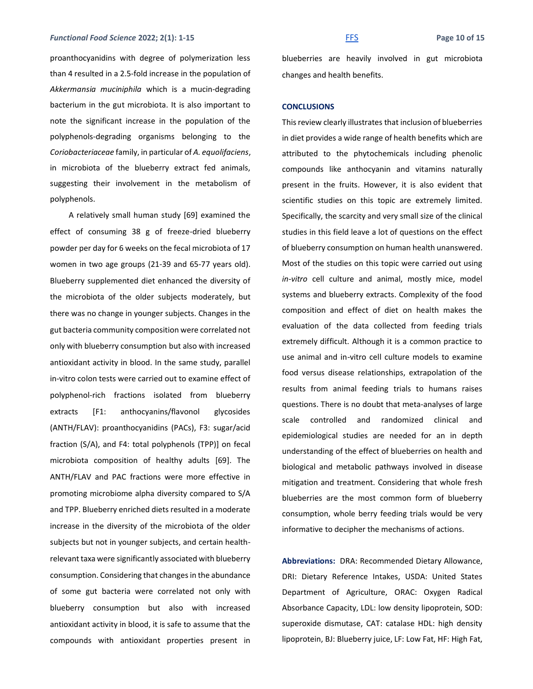### *Functional Food Science* **2022; 2(1): 1-15** [FFS](http://www.ffhdj.com/) **Page 10 of 15**

proanthocyanidins with degree of polymerization less than 4 resulted in a 2.5-fold increase in the population of *Akkermansia muciniphila* which is a mucin-degrading bacterium in the gut microbiota. It is also important to note the significant increase in the population of the polyphenols-degrading organisms belonging to the *Coriobacteriaceae* family, in particular of *A. equolifaciens*, in microbiota of the blueberry extract fed animals, suggesting their involvement in the metabolism of polyphenols.

A relatively small human study [69] examined the effect of consuming 38 g of freeze-dried blueberry powder per day for 6 weeks on the fecal microbiota of 17 women in two age groups (21-39 and 65-77 years old). Blueberry supplemented diet enhanced the diversity of the microbiota of the older subjects moderately, but there was no change in younger subjects. Changes in the gut bacteria community composition were correlated not only with blueberry consumption but also with increased antioxidant activity in blood. In the same study, parallel in-vitro colon tests were carried out to examine effect of polyphenol-rich fractions isolated from blueberry extracts [F1: anthocyanins/flavonol glycosides (ANTH/FLAV): proanthocyanidins (PACs), F3: sugar/acid fraction (S/A), and F4: total polyphenols (TPP)] on fecal microbiota composition of healthy adults [69]. The ANTH/FLAV and PAC fractions were more effective in promoting microbiome alpha diversity compared to S/A and TPP. Blueberry enriched diets resulted in a moderate increase in the diversity of the microbiota of the older subjects but not in younger subjects, and certain healthrelevant taxa were significantly associated with blueberry consumption. Considering that changes in the abundance of some gut bacteria were correlated not only with blueberry consumption but also with increased antioxidant activity in blood, it is safe to assume that the compounds with antioxidant properties present in

blueberries are heavily involved in gut microbiota changes and health benefits.

### **CONCLUSIONS**

This review clearly illustrates that inclusion of blueberries in diet provides a wide range of health benefits which are attributed to the phytochemicals including phenolic compounds like anthocyanin and vitamins naturally present in the fruits. However, it is also evident that scientific studies on this topic are extremely limited. Specifically, the scarcity and very small size of the clinical studies in this field leave a lot of questions on the effect of blueberry consumption on human health unanswered. Most of the studies on this topic were carried out using *in-vitro* cell culture and animal, mostly mice, model systems and blueberry extracts. Complexity of the food composition and effect of diet on health makes the evaluation of the data collected from feeding trials extremely difficult. Although it is a common practice to use animal and in-vitro cell culture models to examine food versus disease relationships, extrapolation of the results from animal feeding trials to humans raises questions. There is no doubt that meta-analyses of large scale controlled and randomized clinical and epidemiological studies are needed for an in depth understanding of the effect of blueberries on health and biological and metabolic pathways involved in disease mitigation and treatment. Considering that whole fresh blueberries are the most common form of blueberry consumption, whole berry feeding trials would be very informative to decipher the mechanisms of actions.

**Abbreviations:** DRA: Recommended Dietary Allowance, DRI: Dietary Reference Intakes, USDA: United States Department of Agriculture, ORAC: Oxygen Radical Absorbance Capacity, LDL: low density lipoprotein, SOD: superoxide dismutase, CAT: catalase HDL: high density lipoprotein, BJ: Blueberry juice, LF: Low Fat, HF: High Fat,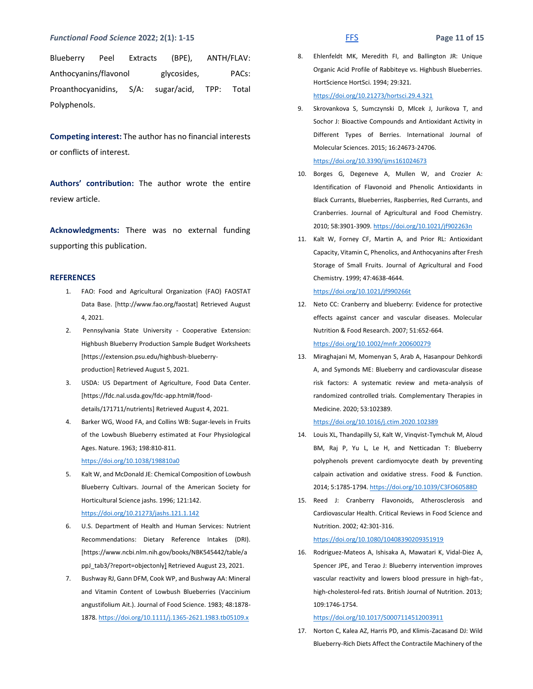### *Functional Food Science* **2022; 2(1): 1-15** [FFS](http://www.ffhdj.com/) **Page 11 of 15**

Blueberry Peel Extracts (BPE), ANTH/FLAV: Anthocyanins/flavonol glycosides, PACs: Proanthocyanidins, S/A: sugar/acid, TPP: Total Polyphenols.

**Competing interest:** The author has no financial interests or conflicts of interest.

**Authors' contribution:** The author wrote the entire review article.

**Acknowledgments:** There was no external funding supporting this publication.

#### **REFERENCES**

- 1. FAO: Food and Agricultural Organization (FAO) FAOSTAT Data Base. [http://www.fao.org/faostat] Retrieved August 4, 2021.
- 2. Pennsylvania State University Cooperative Extension: Highbush Blueberry Production Sample Budget Worksheets [https://extension.psu.edu/highbush-blueberryproduction] Retrieved August 5, 2021.
- 3. USDA: US Department of Agriculture, Food Data Center. [https://fdc.nal.usda.gov/fdc-app.html#/fooddetails/171711/nutrients] Retrieved August 4, 2021.
- 4. Barker WG, Wood FA, and Collins WB: Sugar-levels in Fruits of the Lowbush Blueberry estimated at Four Physiological Ages. Nature. 1963; 198:810-811. <https://doi.org/10.1038/198810a0>
- 5. Kalt W, and McDonald JE: Chemical Composition of Lowbush Blueberry Cultivars. Journal of the American Society for Horticultural Science jashs. 1996; 121:142. <https://doi.org/10.21273/jashs.121.1.142>
- 6. U.S. Department of Health and Human Services: Nutrient Recommendations: Dietary Reference Intakes (DRI). [https://www.ncbi.nlm.nih.gov/books/NBK545442/table/a ppJ\_tab3/?report=objectonly] Retrieved August 23, 2021.
- 7. Bushway RJ, Gann DFM, Cook WP, and Bushway AA: Mineral and Vitamin Content of Lowbush Blueberries (Vaccinium angustifolium Ait.). Journal of Food Science. 1983; 48:1878- 1878[. https://doi.org/10.1111/j.1365-2621.1983.tb05109.x](https://doi.org/10.1111/j.1365-2621.1983.tb05109.x)

8. Ehlenfeldt MK, Meredith FI, and Ballington JR: Unique Organic Acid Profile of Rabbiteye vs. Highbush Blueberries. HortScience HortSci. 1994; 29:321. <https://doi.org/10.21273/hortsci.29.4.321>

9. Skrovankova S, Sumczynski D, Mlcek J, Jurikova T, and Sochor J: Bioactive Compounds and Antioxidant Activity in Different Types of Berries. International Journal of Molecular Sciences. 2015; 16:24673-24706.

<https://doi.org/10.3390/ijms161024673>

- 10. Borges G, Degeneve A, Mullen W, and Crozier A: Identification of Flavonoid and Phenolic Antioxidants in Black Currants, Blueberries, Raspberries, Red Currants, and Cranberries. Journal of Agricultural and Food Chemistry. 2010; 58:3901-3909[. https://doi.org/10.1021/jf902263n](https://doi.org/10.1021/jf902263n)
- 11. Kalt W, Forney CF, Martin A, and Prior RL: Antioxidant Capacity, Vitamin C, Phenolics, and Anthocyanins after Fresh Storage of Small Fruits. Journal of Agricultural and Food Chemistry. 1999; 47:4638-4644.

<https://doi.org/10.1021/jf990266t>

- 12. Neto CC: Cranberry and blueberry: Evidence for protective effects against cancer and vascular diseases. Molecular Nutrition & Food Research. 2007; 51:652-664. <https://doi.org/10.1002/mnfr.200600279>
- 13. Miraghajani M, Momenyan S, Arab A, Hasanpour Dehkordi A, and Symonds ME: Blueberry and cardiovascular disease risk factors: A systematic review and meta-analysis of randomized controlled trials. Complementary Therapies in Medicine. 2020; 53:102389.

<https://doi.org/10.1016/j.ctim.2020.102389>

- 14. Louis XL, Thandapilly SJ, Kalt W, Vinqvist-Tymchuk M, Aloud BM, Raj P, Yu L, Le H, and Netticadan T: Blueberry polyphenols prevent cardiomyocyte death by preventing calpain activation and oxidative stress. Food & Function. 2014; 5:1785-1794[. https://doi.org/10.1039/C3FO60588D](https://doi.org/10.1039/C3FO60588D)
- 15. Reed J: Cranberry Flavonoids, Atherosclerosis and Cardiovascular Health. Critical Reviews in Food Science and Nutrition. 2002; 42:301-316.

<https://doi.org/10.1080/10408390209351919>

16. Rodriguez-Mateos A, Ishisaka A, Mawatari K, Vidal-Diez A, Spencer JPE, and Terao J: Blueberry intervention improves vascular reactivity and lowers blood pressure in high-fat-, high-cholesterol-fed rats. British Journal of Nutrition. 2013; 109:1746-1754.

<https://doi.org/10.1017/S0007114512003911>

17. Norton C, Kalea AZ, Harris PD, and Klimis-Zacasand DJ: Wild Blueberry-Rich Diets Affect the Contractile Machinery of the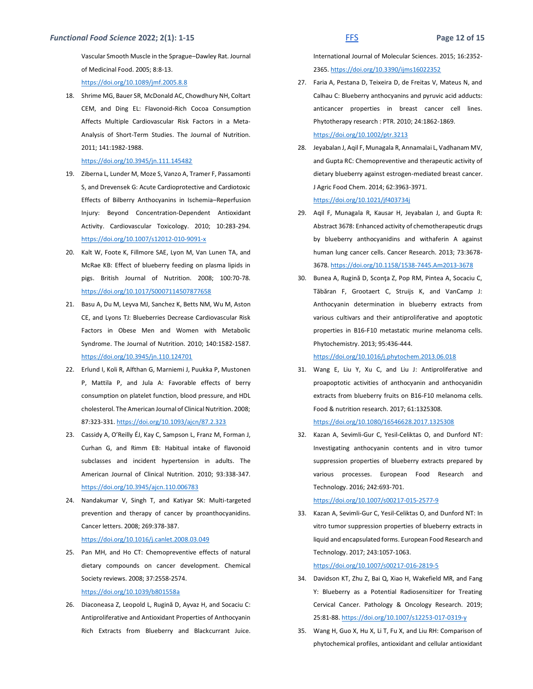Vascular Smooth Muscle in the Sprague–Dawley Rat. Journal of Medicinal Food. 2005; 8:8-13. <https://doi.org/10.1089/jmf.2005.8.8>

18. Shrime MG, Bauer SR, McDonald AC, Chowdhury NH, Coltart CEM, and Ding EL: Flavonoid-Rich Cocoa Consumption Affects Multiple Cardiovascular Risk Factors in a Meta-Analysis of Short-Term Studies. The Journal of Nutrition. 2011; 141:1982-1988.

#### <https://doi.org/10.3945/jn.111.145482>

- 19. Ziberna L, Lunder M, Moze S, Vanzo A, Tramer F, Passamonti S, and Drevensek G: Acute Cardioprotective and Cardiotoxic Effects of Bilberry Anthocyanins in Ischemia–Reperfusion Injury: Beyond Concentration-Dependent Antioxidant Activity. Cardiovascular Toxicology. 2010; 10:283-294. <https://doi.org/10.1007/s12012-010-9091-x>
- 20. Kalt W, Foote K, Fillmore SAE, Lyon M, Van Lunen TA, and McRae KB: Effect of blueberry feeding on plasma lipids in pigs. British Journal of Nutrition. 2008; 100:70-78. <https://doi.org/10.1017/S0007114507877658>
- 21. Basu A, Du M, Leyva MJ, Sanchez K, Betts NM, Wu M, Aston CE, and Lyons TJ: Blueberries Decrease Cardiovascular Risk Factors in Obese Men and Women with Metabolic Syndrome. The Journal of Nutrition. 2010; 140:1582-1587. <https://doi.org/10.3945/jn.110.124701>
- 22. Erlund I, Koli R, Alfthan G, Marniemi J, Puukka P, Mustonen P, Mattila P, and Jula A: Favorable effects of berry consumption on platelet function, blood pressure, and HDL cholesterol. The American Journal of Clinical Nutrition. 2008; 87:323-331[. https://doi.org/10.1093/ajcn/87.2.323](https://doi.org/10.1093/ajcn/87.2.323)
- 23. Cassidy A, O'Reilly ÉJ, Kay C, Sampson L, Franz M, Forman J, Curhan G, and Rimm EB: Habitual intake of flavonoid subclasses and incident hypertension in adults. The American Journal of Clinical Nutrition. 2010; 93:338-347. <https://doi.org/10.3945/ajcn.110.006783>
- 24. Nandakumar V, Singh T, and Katiyar SK: Multi-targeted prevention and therapy of cancer by proanthocyanidins. Cancer letters. 2008; 269:378-387.

#### <https://doi.org/10.1016/j.canlet.2008.03.049>

- 25. Pan MH, and Ho CT: Chemopreventive effects of natural dietary compounds on cancer development. Chemical Society reviews. 2008; 37:2558-2574. <https://doi.org/10.1039/b801558a>
- 26. Diaconeasa Z, Leopold L, Rugină D, Ayvaz H, and Socaciu C: Antiproliferative and Antioxidant Properties of Anthocyanin Rich Extracts from Blueberry and Blackcurrant Juice.

International Journal of Molecular Sciences. 2015; 16:2352- 2365[. https://doi.org/10.3390/ijms16022352](https://doi.org/10.3390/ijms16022352)

- 27. Faria A, Pestana D, Teixeira D, de Freitas V, Mateus N, and Calhau C: Blueberry anthocyanins and pyruvic acid adducts: anticancer properties in breast cancer cell lines. Phytotherapy research : PTR. 2010; 24:1862-1869. <https://doi.org/10.1002/ptr.3213>
- 28. Jeyabalan J, Aqil F, Munagala R, Annamalai L, Vadhanam MV, and Gupta RC: Chemopreventive and therapeutic activity of dietary blueberry against estrogen-mediated breast cancer. J Agric Food Chem. 2014; 62:3963-3971. <https://doi.org/10.1021/jf403734j>
- 29. Aqil F, Munagala R, Kausar H, Jeyabalan J, and Gupta R: Abstract 3678: Enhanced activity of chemotherapeutic drugs by blueberry anthocyanidins and withaferin A against human lung cancer cells. Cancer Research. 2013; 73:3678- 3678[. https://doi.org/10.1158/1538-7445.Am2013-3678](https://doi.org/10.1158/1538-7445.Am2013-3678)
- 30. Bunea A, Rugină D, Sconţa Z, Pop RM, Pintea A, Socaciu C, Tăbăran F, Grootaert C, Struijs K, and VanCamp J: Anthocyanin determination in blueberry extracts from various cultivars and their antiproliferative and apoptotic properties in B16-F10 metastatic murine melanoma cells. Phytochemistry. 2013; 95:436-444.

<https://doi.org/10.1016/j.phytochem.2013.06.018>

31. Wang E, Liu Y, Xu C, and Liu J: Antiproliferative and proapoptotic activities of anthocyanin and anthocyanidin extracts from blueberry fruits on B16-F10 melanoma cells. Food & nutrition research. 2017; 61:1325308.

<https://doi.org/10.1080/16546628.2017.1325308>

32. Kazan A, Sevimli-Gur C, Yesil-Celiktas O, and Dunford NT: Investigating anthocyanin contents and in vitro tumor suppression properties of blueberry extracts prepared by various processes. European Food Research and Technology. 2016; 242:693-701.

#### <https://doi.org/10.1007/s00217-015-2577-9>

33. Kazan A, Sevimli-Gur C, Yesil-Celiktas O, and Dunford NT: In vitro tumor suppression properties of blueberry extracts in liquid and encapsulated forms. European Food Research and Technology. 2017; 243:1057-1063.

<https://doi.org/10.1007/s00217-016-2819-5>

- 34. Davidson KT, Zhu Z, Bai Q, Xiao H, Wakefield MR, and Fang Y: Blueberry as a Potential Radiosensitizer for Treating Cervical Cancer. Pathology & Oncology Research. 2019; 25:81-88[. https://doi.org/10.1007/s12253-017-0319-y](https://doi.org/10.1007/s12253-017-0319-y)
- 35. Wang H, Guo X, Hu X, Li T, Fu X, and Liu RH: Comparison of phytochemical profiles, antioxidant and cellular antioxidant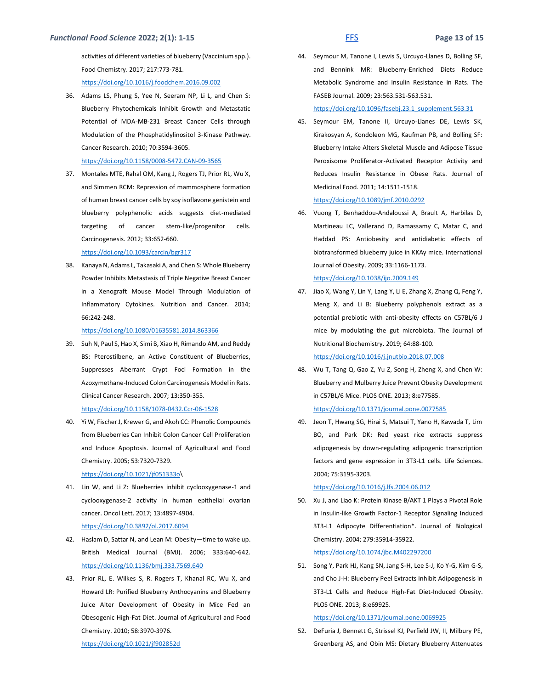activities of different varieties of blueberry (Vaccinium spp.). Food Chemistry. 2017; 217:773-781. <https://doi.org/10.1016/j.foodchem.2016.09.002>

36. Adams LS, Phung S, Yee N, Seeram NP, Li L, and Chen S: Blueberry Phytochemicals Inhibit Growth and Metastatic Potential of MDA-MB-231 Breast Cancer Cells through Modulation of the Phosphatidylinositol 3-Kinase Pathway. Cancer Research. 2010; 70:3594-3605.

<https://doi.org/10.1158/0008-5472.CAN-09-3565>

37. Montales MTE, Rahal OM, Kang J, Rogers TJ, Prior RL, Wu X, and Simmen RCM: Repression of mammosphere formation of human breast cancer cells by soy isoflavone genistein and blueberry polyphenolic acids suggests diet-mediated targeting of cancer stem-like/progenitor cells. Carcinogenesis. 2012; 33:652-660.

#### <https://doi.org/10.1093/carcin/bgr317>

38. Kanaya N, Adams L, Takasaki A, and Chen S: Whole Blueberry Powder Inhibits Metastasis of Triple Negative Breast Cancer in a Xenograft Mouse Model Through Modulation of Inflammatory Cytokines. Nutrition and Cancer. 2014; 66:242-248.

#### <https://doi.org/10.1080/01635581.2014.863366>

39. Suh N, Paul S, Hao X, Simi B, Xiao H, Rimando AM, and Reddy BS: Pterostilbene, an Active Constituent of Blueberries, Suppresses Aberrant Crypt Foci Formation in the Azoxymethane-Induced Colon Carcinogenesis Model in Rats. Clinical Cancer Research. 2007; 13:350-355. <https://doi.org/10.1158/1078-0432.Ccr-06-1528>

# 40. Yi W, Fischer J, Krewer G, and Akoh CC: Phenolic Compounds from Blueberries Can Inhibit Colon Cancer Cell Proliferation and Induce Apoptosis. Journal of Agricultural and Food Chemistry. 2005; 53:7320-7329.

#### [https://doi.org/10.1021/jf051333o\](https://doi.org/10.1021/jf051333o)

41. Lin W, and Li Z: Blueberries inhibit cyclooxygenase-1 and cyclooxygenase-2 activity in human epithelial ovarian cancer. Oncol Lett. 2017; 13:4897-4904. <https://doi.org/10.3892/ol.2017.6094>

# 42. Haslam D, Sattar N, and Lean M: Obesity—time to wake up. British Medical Journal (BMJ). 2006; 333:640-642.

<https://doi.org/10.1136/bmj.333.7569.640>

43. Prior RL, E. Wilkes S, R. Rogers T, Khanal RC, Wu X, and Howard LR: Purified Blueberry Anthocyanins and Blueberry Juice Alter Development of Obesity in Mice Fed an Obesogenic High-Fat Diet. Journal of Agricultural and Food Chemistry. 2010; 58:3970-3976.

```
https://doi.org/10.1021/jf902852d
```
44. Seymour M, Tanone I, Lewis S, Urcuyo-Llanes D, Bolling SF, and Bennink MR: Blueberry-Enriched Diets Reduce Metabolic Syndrome and Insulin Resistance in Rats. The FASEB Journal. 2009; 23:563.531-563.531.

[https://doi.org/10.1096/fasebj.23.1\\_supplement.563.31](https://doi.org/10.1096/fasebj.23.1_supplement.563.31)

45. Seymour EM, Tanone II, Urcuyo-Llanes DE, Lewis SK, Kirakosyan A, Kondoleon MG, Kaufman PB, and Bolling SF: Blueberry Intake Alters Skeletal Muscle and Adipose Tissue Peroxisome Proliferator-Activated Receptor Activity and Reduces Insulin Resistance in Obese Rats. Journal of Medicinal Food. 2011; 14:1511-1518.

### <https://doi.org/10.1089/jmf.2010.0292>

46. Vuong T, Benhaddou-Andaloussi A, Brault A, Harbilas D, Martineau LC, Vallerand D, Ramassamy C, Matar C, and Haddad PS: Antiobesity and antidiabetic effects of biotransformed blueberry juice in KKAy mice. International Journal of Obesity. 2009; 33:1166-1173.

<https://doi.org/10.1038/ijo.2009.149>

47. Jiao X, Wang Y, Lin Y, Lang Y, Li E, Zhang X, Zhang Q, Feng Y, Meng X, and Li B: Blueberry polyphenols extract as a potential prebiotic with anti-obesity effects on C57BL/6 J mice by modulating the gut microbiota. The Journal of Nutritional Biochemistry. 2019; 64:88-100.

## <https://doi.org/10.1016/j.jnutbio.2018.07.008>

- 48. Wu T, Tang Q, Gao Z, Yu Z, Song H, Zheng X, and Chen W: Blueberry and Mulberry Juice Prevent Obesity Development in C57BL/6 Mice. PLOS ONE. 2013; 8:e77585. <https://doi.org/10.1371/journal.pone.0077585>
- 49. Jeon T, Hwang SG, Hirai S, Matsui T, Yano H, Kawada T, Lim BO, and Park DK: Red yeast rice extracts suppress adipogenesis by down-regulating adipogenic transcription factors and gene expression in 3T3-L1 cells. Life Sciences. 2004; 75:3195-3203.

#### <https://doi.org/10.1016/j.lfs.2004.06.012>

50. Xu J, and Liao K: Protein Kinase B/AKT 1 Plays a Pivotal Role in Insulin-like Growth Factor-1 Receptor Signaling Induced 3T3-L1 Adipocyte Differentiation\*. Journal of Biological Chemistry. 2004; 279:35914-35922.

#### <https://doi.org/10.1074/jbc.M402297200>

51. Song Y, Park HJ, Kang SN, Jang S-H, Lee S-J, Ko Y-G, Kim G-S, and Cho J-H: Blueberry Peel Extracts Inhibit Adipogenesis in 3T3-L1 Cells and Reduce High-Fat Diet-Induced Obesity. PLOS ONE. 2013; 8:e69925.

<https://doi.org/10.1371/journal.pone.0069925>

52. DeFuria J, Bennett G, Strissel KJ, Perfield JW, II, Milbury PE, Greenberg AS, and Obin MS: Dietary Blueberry Attenuates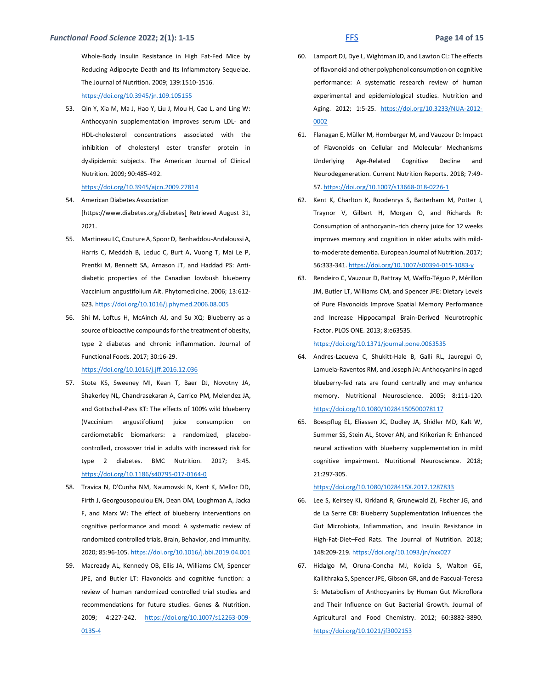Whole-Body Insulin Resistance in High Fat-Fed Mice by Reducing Adipocyte Death and Its Inflammatory Sequelae. The Journal of Nutrition. 2009; 139:1510-1516. <https://doi.org/10.3945/jn.109.105155>

53. Qin Y, Xia M, Ma J, Hao Y, Liu J, Mou H, Cao L, and Ling W: Anthocyanin supplementation improves serum LDL- and HDL-cholesterol concentrations associated with the inhibition of cholesteryl ester transfer protein in dyslipidemic subjects. The American Journal of Clinical Nutrition. 2009; 90:485-492.

### <https://doi.org/10.3945/ajcn.2009.27814>

- 54. American Diabetes Association [https://www.diabetes.org/diabetes] Retrieved August 31, 2021.
- 55. Martineau LC, Couture A, Spoor D, Benhaddou-Andaloussi A, Harris C, Meddah B, Leduc C, Burt A, Vuong T, Mai Le P, Prentki M, Bennett SA, Arnason JT, and Haddad PS: Antidiabetic properties of the Canadian lowbush blueberry Vaccinium angustifolium Ait. Phytomedicine. 2006; 13:612- 623[. https://doi.org/10.1016/j.phymed.2006.08.005](https://doi.org/10.1016/j.phymed.2006.08.005)
- 56. Shi M, Loftus H, McAinch AJ, and Su XQ: Blueberry as a source of bioactive compounds for the treatment of obesity, type 2 diabetes and chronic inflammation. Journal of Functional Foods. 2017; 30:16-29.

### <https://doi.org/10.1016/j.jff.2016.12.036>

- 57. Stote KS, Sweeney MI, Kean T, Baer DJ, Novotny JA, Shakerley NL, Chandrasekaran A, Carrico PM, Melendez JA, and Gottschall-Pass KT: The effects of 100% wild blueberry (Vaccinium angustifolium) juice consumption on cardiometablic biomarkers: a randomized, placebocontrolled, crossover trial in adults with increased risk for type 2 diabetes. BMC Nutrition. 2017; 3:45. <https://doi.org/10.1186/s40795-017-0164-0>
- 58. Travica N, D'Cunha NM, Naumovski N, Kent K, Mellor DD, Firth J, Georgousopoulou EN, Dean OM, Loughman A, Jacka F, and Marx W: The effect of blueberry interventions on cognitive performance and mood: A systematic review of randomized controlled trials. Brain, Behavior, and Immunity. 2020; 85:96-105[. https://doi.org/10.1016/j.bbi.2019.04.001](https://doi.org/10.1016/j.bbi.2019.04.001)
- 59. Macready AL, Kennedy OB, Ellis JA, Williams CM, Spencer JPE, and Butler LT: Flavonoids and cognitive function: a review of human randomized controlled trial studies and recommendations for future studies. Genes & Nutrition. 2009; 4:227-242. [https://doi.org/10.1007/s12263-009-](https://doi.org/10.1007/s12263-009-0135-4) [0135-4](https://doi.org/10.1007/s12263-009-0135-4)

- 60. Lamport DJ, Dye L, Wightman JD, and Lawton CL: The effects of flavonoid and other polyphenol consumption on cognitive performance: A systematic research review of human experimental and epidemiological studies. Nutrition and Aging. 2012; 1:5-25. [https://doi.org/10.3233/NUA-2012-](https://doi.org/10.3233/NUA-2012-0002) [0002](https://doi.org/10.3233/NUA-2012-0002)
- 61. Flanagan E, Müller M, Hornberger M, and Vauzour D: Impact of Flavonoids on Cellular and Molecular Mechanisms Underlying Age-Related Cognitive Decline and Neurodegeneration. Current Nutrition Reports. 2018; 7:49- 57[. https://doi.org/10.1007/s13668-018-0226-1](https://doi.org/10.1007/s13668-018-0226-1)
- 62. Kent K, Charlton K, Roodenrys S, Batterham M, Potter J, Traynor V, Gilbert H, Morgan O, and Richards R: Consumption of anthocyanin-rich cherry juice for 12 weeks improves memory and cognition in older adults with mildto-moderate dementia. European Journal of Nutrition. 2017; 56:333-341.<https://doi.org/10.1007/s00394-015-1083-y>
- 63. Rendeiro C, Vauzour D, Rattray M, Waffo-Téguo P, Mérillon JM, Butler LT, Williams CM, and Spencer JPE: Dietary Levels of Pure Flavonoids Improve Spatial Memory Performance and Increase Hippocampal Brain-Derived Neurotrophic Factor. PLOS ONE. 2013; 8:e63535.

#### <https://doi.org/10.1371/journal.pone.0063535>

- 64. Andres-Lacueva C, Shukitt-Hale B, Galli RL, Jauregui O, Lamuela-Raventos RM, and Joseph JA: Anthocyanins in aged blueberry-fed rats are found centrally and may enhance memory. Nutritional Neuroscience. 2005; 8:111-120. <https://doi.org/10.1080/10284150500078117>
- 65. Boespflug EL, Eliassen JC, Dudley JA, Shidler MD, Kalt W, Summer SS, Stein AL, Stover AN, and Krikorian R: Enhanced neural activation with blueberry supplementation in mild cognitive impairment. Nutritional Neuroscience. 2018; 21:297-305.

#### <https://doi.org/10.1080/1028415X.2017.1287833>

- 66. Lee S, Keirsey KI, Kirkland R, Grunewald ZI, Fischer JG, and de La Serre CB: Blueberry Supplementation Influences the Gut Microbiota, Inflammation, and Insulin Resistance in High-Fat-Diet–Fed Rats. The Journal of Nutrition. 2018; 148:209-219.<https://doi.org/10.1093/jn/nxx027>
- 67. Hidalgo M, Oruna-Concha MJ, Kolida S, Walton GE, Kallithraka S, Spencer JPE, Gibson GR, and de Pascual-Teresa S: Metabolism of Anthocyanins by Human Gut Microflora and Their Influence on Gut Bacterial Growth. Journal of Agricultural and Food Chemistry. 2012; 60:3882-3890. <https://doi.org/10.1021/jf3002153>